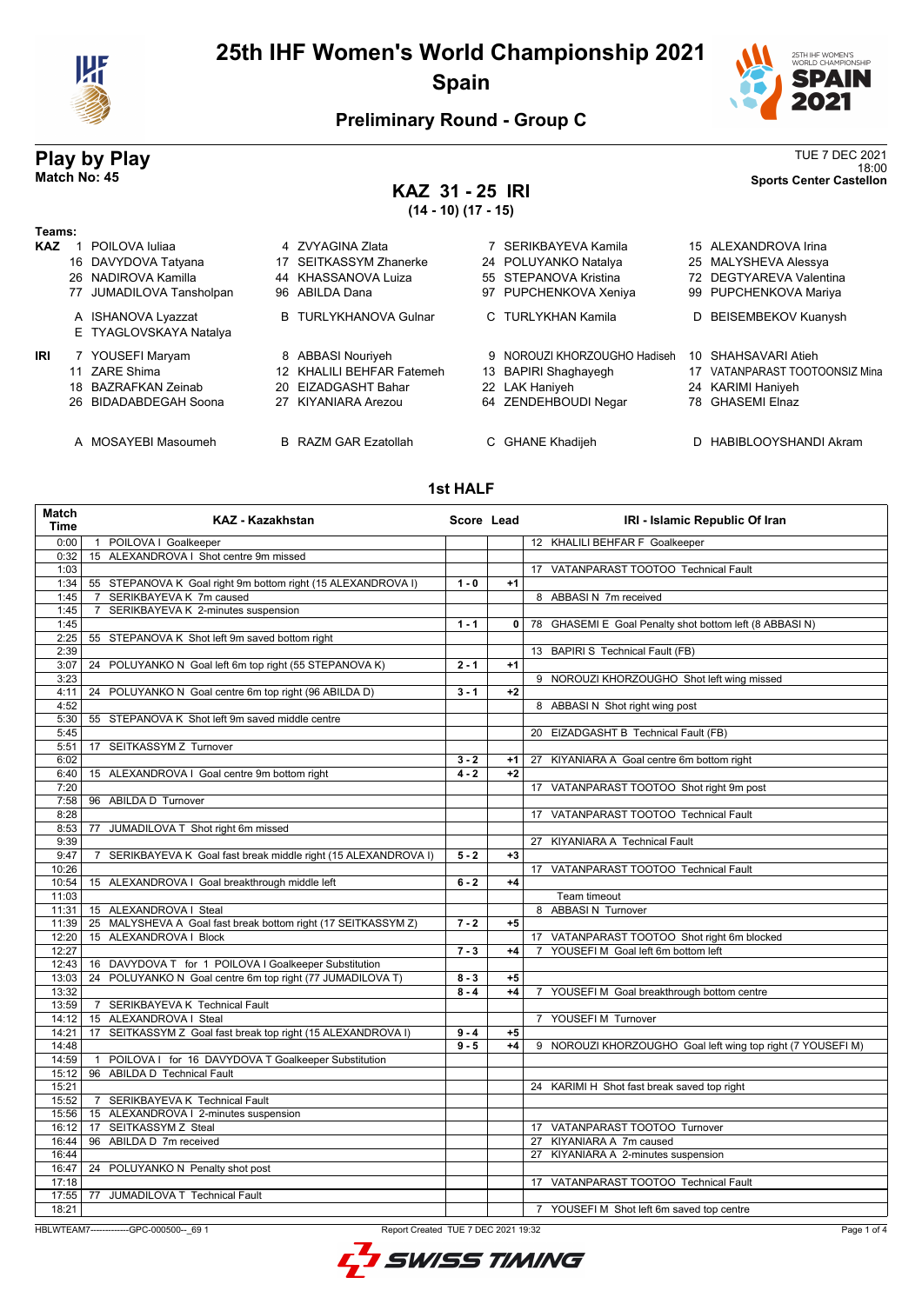

# **25th IHF Women's World Championship 2021 Spain**



18:00 **Match No: 45 Sports Center Castellon**

## **Preliminary Round - Group C**

# **Play by Play**<br>Match No: 45<br>Sports Center Castellon

# **KAZ 31 - 25 IRI**

**(14 - 10) (17 - 15)**

| Teams:     |    |                                              |    |                              |    |                              |     |                             |
|------------|----|----------------------------------------------|----|------------------------------|----|------------------------------|-----|-----------------------------|
| <b>KAZ</b> |    | POILOVA Iuliaa                               |    | 4 ZVYAGINA Zlata             |    | SERIKBAYEVA Kamila           |     | 15 ALEXANDROVA Irina        |
|            |    | 16 DAVYDOVA Tatyana                          |    | 17 SEITKASSYM Zhanerke       |    | 24 POLUYANKO Natalya         |     | 25 MALYSHEVA Alessya        |
|            |    | 26 NADIROVA Kamilla                          |    | 44 KHASSANOVA Luiza          |    | 55 STEPANOVA Kristina        |     | 72 DEGTYAREVA Valentina     |
|            | 77 | JUMADILOVA Tansholpan                        |    | 96 ABILDA Dana               | 97 | PUPCHENKOVA Xeniya           |     | 99 PUPCHENKOVA Mariya       |
|            |    | A ISHANOVA Lyazzat<br>E TYAGLOVSKAYA Natalya |    | <b>B</b> TURLYKHANOVA Gulnar |    | C TURLYKHAN Kamila           | D.  | BEISEMBEKOV Kuanysh         |
| IRI        |    | 7 YOUSEFI Maryam                             |    | 8 ABBASI Nouriyeh            |    | 9 NOROUZI KHORZOUGHO Hadiseh | 10  | SHAHSAVARI Atieh            |
|            |    | 11 ZARE Shima                                |    | 12 KHALILI BEHFAR Fatemeh    |    | 13 BAPIRI Shaghayegh         | 17  | VATANPARAST TOOTOONSIZ Mina |
|            |    | 18 BAZRAFKAN Zeinab                          |    | 20 EIZADGASHT Bahar          |    | 22 LAK Haniyeh               |     | 24 KARIMI Haniyeh           |
|            |    | 26 BIDADABDEGAH Soona                        | 27 | KIYANIARA Arezou             |    | 64 ZENDEHBOUDI Negar         | 78. | <b>GHASEMI Elnaz</b>        |
|            |    | MOSAYEBI Masoumeh                            |    | <b>B</b> RAZM GAR Ezatollah  |    | C GHANE Khadijeh             |     | HABIBLOOYSHANDI Akram       |

#### **1st HALF**

| <b>Match</b><br><b>Time</b> | <b>KAZ - Kazakhstan</b>                                             | Score Lead         |              | IRI - Islamic Republic Of Iran                              |
|-----------------------------|---------------------------------------------------------------------|--------------------|--------------|-------------------------------------------------------------|
| 0:00                        | 1 POILOVA I Goalkeeper                                              |                    |              | 12 KHALILI BEHFAR F Goalkeeper                              |
| 0:32                        | 15 ALEXANDROVA I Shot centre 9m missed                              |                    |              |                                                             |
| 1:03                        |                                                                     |                    |              | 17 VATANPARAST TOOTOO Technical Fault                       |
| 1:34                        | 55 STEPANOVA K Goal right 9m bottom right (15 ALEXANDROVA I)        | $1 - 0$            | $+1$         |                                                             |
| 1:45                        | SERIKBAYEVA K 7m caused<br>$\overline{7}$                           |                    |              | 8 ABBASI N 7m received                                      |
| 1:45                        | SERIKBAYEVA K 2-minutes suspension<br>7                             |                    |              |                                                             |
| 1:45                        |                                                                     | $1 - 1$            | $\mathbf{0}$ | 78 GHASEMI E Goal Penalty shot bottom left (8 ABBASI N)     |
| 2:25                        | 55 STEPANOVA K Shot left 9m saved bottom right                      |                    |              |                                                             |
| 2:39                        |                                                                     |                    |              | 13 BAPIRI S Technical Fault (FB)                            |
| 3:07                        | POLUYANKO N Goal left 6m top right (55 STEPANOVA K)<br>24           | $2 - 1$            | $+1$         |                                                             |
| 3:23                        |                                                                     |                    |              | 9 NOROUZI KHORZOUGHO Shot left wing missed                  |
| 4:11                        | 24 POLUYANKO N Goal centre 6m top right (96 ABILDA D)               | $3 - 1$            | $+2$         |                                                             |
| 4:52                        |                                                                     |                    |              | 8 ABBASI N Shot right wing post                             |
| 5:30                        | 55 STEPANOVA K Shot left 9m saved middle centre                     |                    |              |                                                             |
| 5:45                        |                                                                     |                    |              | 20 EIZADGASHT B Technical Fault (FB)                        |
| 5:51                        | 17 SEITKASSYM Z Turnover                                            |                    |              |                                                             |
| 6:02                        |                                                                     | $3 - 2$            | $+1$         | 27 KIYANIARA A Goal centre 6m bottom right                  |
| 6:40                        | 15 ALEXANDROVA I Goal centre 9m bottom right                        | $4 - 2$            | $+2$         |                                                             |
| 7:20                        |                                                                     |                    |              | 17 VATANPARAST TOOTOO Shot right 9m post                    |
| 7:58                        | 96 ABILDA D Turnover                                                |                    |              |                                                             |
| 8:28                        |                                                                     |                    |              | 17 VATANPARAST TOOTOO Technical Fault                       |
| 8:53                        | JUMADILOVA T Shot right 6m missed<br>77                             |                    |              |                                                             |
| 9:39                        |                                                                     |                    |              | 27 KIYANIARA A Technical Fault                              |
| 9:47                        | SERIKBAYEVA K Goal fast break middle right (15 ALEXANDROVA I)<br>7  | $5 - 2$            | $+3$         |                                                             |
| 10:26                       |                                                                     |                    |              | 17 VATANPARAST TOOTOO Technical Fault                       |
| 10:54                       | 15 ALEXANDROVA I Goal breakthrough middle left                      | $6 - 2$            | $+4$         |                                                             |
| 11:03                       |                                                                     |                    |              | Team timeout                                                |
| 11:31                       | 15 ALEXANDROVA I Steal                                              |                    |              | 8 ABBASI N Turnover                                         |
| 11:39                       | 25 MALYSHEVA A Goal fast break bottom right (17 SEITKASSYM Z)       | $7 - 2$            | $+5$         |                                                             |
| 12:20                       | 15 ALEXANDROVA I Block                                              |                    |              | 17 VATANPARAST TOOTOO Shot right 6m blocked                 |
| 12:27                       |                                                                     | $7 - 3$            | $+4$         | YOUSEFI M Goal left 6m bottom left<br>$\overline{7}$        |
| 12:43                       | 16 DAVYDOVA T for 1 POILOVA I Goalkeeper Substitution               |                    |              |                                                             |
| 13:03                       | 24 POLUYANKO N Goal centre 6m top right (77 JUMADILOVA T)           | $8 - 3$            | $+5$         |                                                             |
| 13:32                       |                                                                     | $8 - 4$            | $+4$         | 7 YOUSEFI M Goal breakthrough bottom centre                 |
| 13:59                       | SERIKBAYEVA K Technical Fault                                       |                    |              |                                                             |
|                             | 7<br>15 ALEXANDROVA I Steal                                         |                    |              | 7 YOUSEFIM Turnover                                         |
| 14:12                       |                                                                     |                    |              |                                                             |
| 14:21                       | SEITKASSYM Z Goal fast break top right (15 ALEXANDROVA I)<br>17     | $9 - 4$<br>$9 - 5$ | $+5$<br>$+4$ |                                                             |
| 14:48                       |                                                                     |                    |              | 9 NOROUZI KHORZOUGHO Goal left wing top right (7 YOUSEFI M) |
| 14:59                       | POILOVA I for 16 DAVYDOVA T Goalkeeper Substitution<br>$\mathbf{1}$ |                    |              |                                                             |
| 15:12                       | 96 ABILDA D Technical Fault                                         |                    |              |                                                             |
| 15:21                       |                                                                     |                    |              | 24 KARIMI H Shot fast break saved top right                 |
| 15:52                       | SERIKBAYEVA K Technical Fault<br>7                                  |                    |              |                                                             |
| 15:56                       | 15 ALEXANDROVA   2-minutes suspension                               |                    |              |                                                             |
| 16:12                       | SEITKASSYM Z Steal<br>17                                            |                    |              | 17 VATANPARAST TOOTOO Turnover                              |
| 16:44                       | ABILDA D 7m received<br>96                                          |                    |              | 27 KIYANIARA A 7m caused                                    |
| 16:44                       |                                                                     |                    |              | KIYANIARA A 2-minutes suspension<br>27                      |
| 16:47                       | 24 POLUYANKO N Penalty shot post                                    |                    |              |                                                             |
| 17:18                       |                                                                     |                    |              | 17 VATANPARAST TOOTOO Technical Fault                       |
| 17:55                       | JUMADILOVA T Technical Fault<br>77                                  |                    |              |                                                             |
| 18:21                       |                                                                     |                    |              | 7 YOUSEFIM Shot left 6m saved top centre                    |

HBLWTEAM7-------------GPC-000500--\_69 1 Report Created TUE 7 DEC 2021 19:32

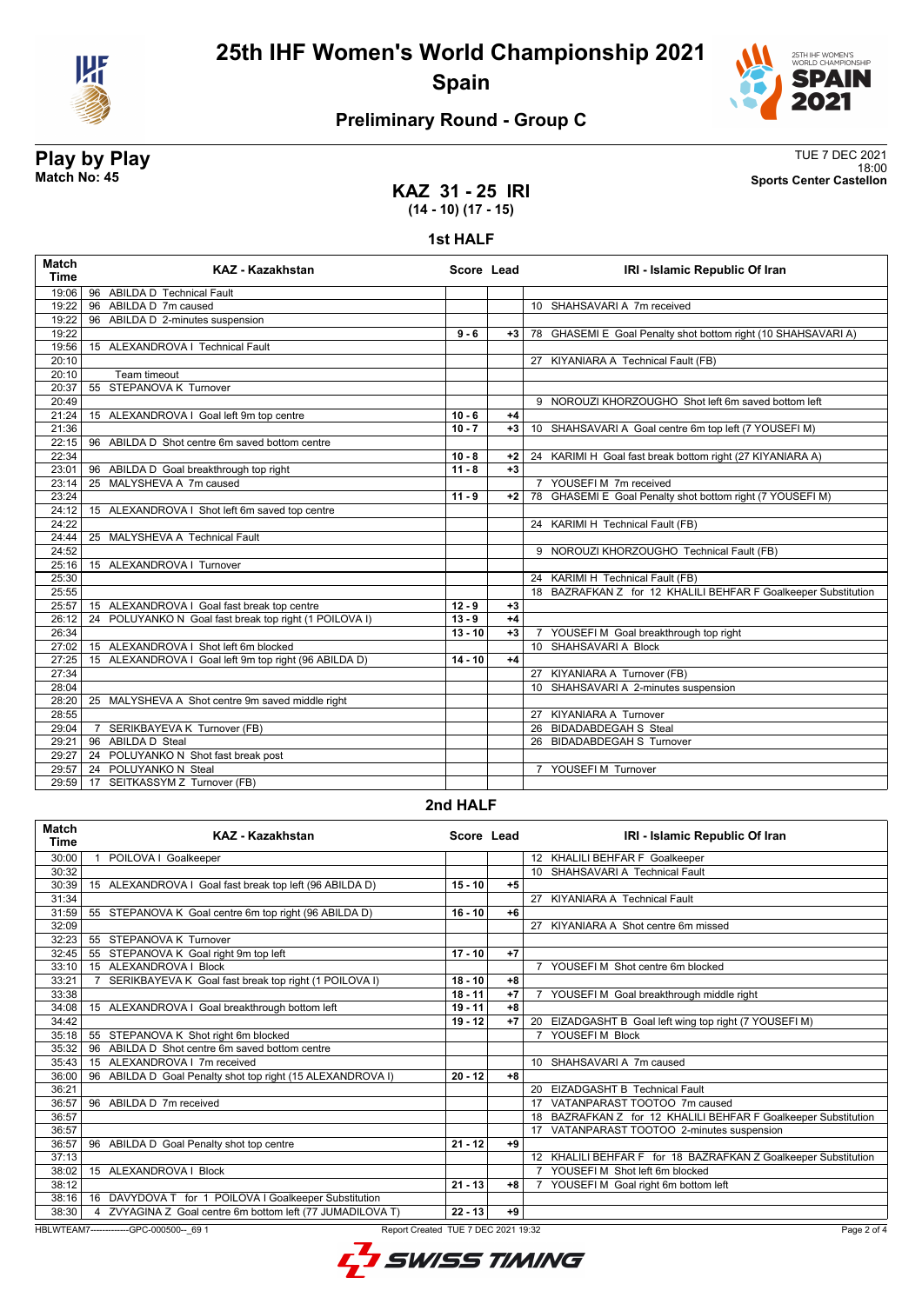



18:00 **Match No: 45 Sports Center Castellon**

# **Preliminary Round - Group C**

# **Play by Play**<br>Match No: 45<br>Sports Center Castellon

**KAZ 31 - 25 IRI (14 - 10) (17 - 15)**

**1st HALF**

| <b>Match</b><br><b>Time</b> | KAZ - Kazakhstan                                       | Score Lead |      | IRI - Islamic Republic Of Iran                                 |
|-----------------------------|--------------------------------------------------------|------------|------|----------------------------------------------------------------|
|                             | 19:06 96 ABILDA D Technical Fault                      |            |      |                                                                |
| 19:22                       | 96 ABILDA D 7m caused                                  |            |      | 10 SHAHSAVARI A 7m received                                    |
| 19:22                       | 96 ABILDA D 2-minutes suspension                       |            |      |                                                                |
| 19:22                       |                                                        | $9 - 6$    | $+3$ | 78 GHASEMI E Goal Penalty shot bottom right (10 SHAHSAVARI A)  |
| 19:56                       | 15 ALEXANDROVA   Technical Fault                       |            |      |                                                                |
| 20:10                       |                                                        |            |      | 27 KIYANIARA A Technical Fault (FB)                            |
| 20:10                       | Team timeout                                           |            |      |                                                                |
| 20:37                       | 55 STEPANOVA K Turnover                                |            |      |                                                                |
| 20:49                       |                                                        |            |      | 9 NOROUZI KHORZOUGHO Shot left 6m saved bottom left            |
| 21:24                       | 15 ALEXANDROVA I Goal left 9m top centre               | $10 - 6$   | $+4$ |                                                                |
| 21:36                       |                                                        | $10 - 7$   | $+3$ | 10 SHAHSAVARI A Goal centre 6m top left (7 YOUSEFI M)          |
| 22:15                       | 96 ABILDA D Shot centre 6m saved bottom centre         |            |      |                                                                |
| 22:34                       |                                                        | $10 - 8$   | $+2$ | 24 KARIMI H Goal fast break bottom right (27 KIYANIARA A)      |
| 23:01                       | 96 ABILDA D Goal breakthrough top right                | $11 - 8$   | $+3$ |                                                                |
| 23:14                       | 25 MALYSHEVA A 7m caused                               |            |      | 7 YOUSEFI M 7m received                                        |
| 23:24                       |                                                        | $11 - 9$   | $+2$ | 78 GHASEMI E Goal Penalty shot bottom right (7 YOUSEFI M)      |
| 24:12                       | 15 ALEXANDROVA I Shot left 6m saved top centre         |            |      |                                                                |
| 24:22                       |                                                        |            |      | 24 KARIMI H Technical Fault (FB)                               |
| 24:44                       | 25 MALYSHEVA A Technical Fault                         |            |      |                                                                |
| 24:52                       |                                                        |            |      | 9 NOROUZI KHORZOUGHO Technical Fault (FB)                      |
| 25:16                       | 15 ALEXANDROVA   Turnover                              |            |      |                                                                |
| 25:30                       |                                                        |            |      | 24 KARIMI H Technical Fault (FB)                               |
| 25:55                       |                                                        |            |      | 18 BAZRAFKAN Z for 12 KHALILI BEHFAR F Goalkeeper Substitution |
| 25:57                       | 15 ALEXANDROVA I Goal fast break top centre            | $12 - 9$   | $+3$ |                                                                |
| 26:12                       | 24 POLUYANKO N Goal fast break top right (1 POILOVA I) | $13 - 9$   | $+4$ |                                                                |
| 26:34                       |                                                        | $13 - 10$  | $+3$ | 7 YOUSEFI M Goal breakthrough top right                        |
| 27:02                       | 15 ALEXANDROVA I Shot left 6m blocked                  |            |      | 10 SHAHSAVARI A Block                                          |
| 27:25                       | 15 ALEXANDROVA I Goal left 9m top right (96 ABILDA D)  | $14 - 10$  | $+4$ |                                                                |
| 27:34                       |                                                        |            |      | 27 KIYANIARA A Turnover (FB)                                   |
| 28:04                       |                                                        |            |      | 10 SHAHSAVARI A 2-minutes suspension                           |
| 28:20                       | 25 MALYSHEVA A Shot centre 9m saved middle right       |            |      |                                                                |
| 28:55                       |                                                        |            |      | 27 KIYANIARA A Turnover                                        |
| 29:04                       | 7 SERIKBAYEVA K Turnover (FB)                          |            |      | 26 BIDADABDEGAH S Steal                                        |
| 29:21                       | 96 ABILDA D Steal                                      |            |      | 26 BIDADABDEGAH S Turnover                                     |
| 29:27                       | 24 POLUYANKO N Shot fast break post                    |            |      |                                                                |
| 29:57                       | 24 POLUYANKO N Steal                                   |            |      | 7 YOUSEFI M Turnover                                           |
|                             | 29:59   17 SEITKASSYM Z Turnover (FB)                  |            |      |                                                                |

#### **2nd HALF**

| <b>Match</b><br><b>Time</b> | <b>KAZ - Kazakhstan</b>                                      | Score Lead |      | IRI - Islamic Republic Of Iran                                 |
|-----------------------------|--------------------------------------------------------------|------------|------|----------------------------------------------------------------|
| 30:00                       | POILOVA I Goalkeeper                                         |            |      | 12 KHALILI BEHFAR F Goalkeeper                                 |
| 30:32                       |                                                              |            |      | 10 SHAHSAVARI A Technical Fault                                |
| 30:39                       | 15 ALEXANDROVA I Goal fast break top left (96 ABILDA D)      | $15 - 10$  | $+5$ |                                                                |
| 31:34                       |                                                              |            |      | 27 KIYANIARA A Technical Fault                                 |
| 31:59                       | 55<br>STEPANOVA K Goal centre 6m top right (96 ABILDA D)     | $16 - 10$  | $+6$ |                                                                |
| 32:09                       |                                                              |            |      | 27 KIYANIARA A Shot centre 6m missed                           |
| 32:23                       | STEPANOVA K Turnover<br>55                                   |            |      |                                                                |
| 32:45                       | 55 STEPANOVA K Goal right 9m top left                        | $17 - 10$  | $+7$ |                                                                |
| 33:10                       | 15 ALEXANDROVA   Block                                       |            |      | YOUSEFI M Shot centre 6m blocked<br>$\overline{7}$             |
| 33:21                       | SERIKBAYEVA K Goal fast break top right (1 POILOVA I)        | $18 - 10$  | $+8$ |                                                                |
| 33:38                       |                                                              | $18 - 11$  | $+7$ | YOUSEFI M Goal breakthrough middle right                       |
| 34:08                       | 15 ALEXANDROVA I Goal breakthrough bottom left               | $19 - 11$  | $+8$ |                                                                |
| 34:42                       |                                                              | $19 - 12$  | $+7$ | 20 EIZADGASHT B Goal left wing top right (7 YOUSEFI M)         |
| 35:18                       | 55 STEPANOVA K Shot right 6m blocked                         |            |      | YOUSEFI M Block                                                |
| 35:32                       | ABILDA D Shot centre 6m saved bottom centre<br>96            |            |      |                                                                |
| 35:43                       | ALEXANDROVA   7m received<br>15                              |            |      | 10 SHAHSAVARI A 7m caused                                      |
| 36:00                       | 96 ABILDA D Goal Penalty shot top right (15 ALEXANDROVA I)   | $20 - 12$  | $+8$ |                                                                |
| 36:21                       |                                                              |            |      | 20 EIZADGASHT B Technical Fault                                |
| 36:57                       | 96 ABILDA D 7m received                                      |            |      | VATANPARAST TOOTOO 7m caused                                   |
| 36:57                       |                                                              |            |      | 18 BAZRAFKAN Z for 12 KHALILI BEHFAR F Goalkeeper Substitution |
| 36:57                       |                                                              |            |      | 17 VATANPARAST TOOTOO 2-minutes suspension                     |
| 36:57                       | 96 ABILDA D Goal Penalty shot top centre                     | $21 - 12$  | +9   |                                                                |
| 37:13                       |                                                              |            |      | 12 KHALILI BEHFAR F for 18 BAZRAFKAN Z Goalkeeper Substitution |
| 38:02                       | 15 ALEXANDROVA   Block                                       |            |      | YOUSEFI M Shot left 6m blocked                                 |
| 38:12                       |                                                              | $21 - 13$  | $+8$ | YOUSEFI M Goal right 6m bottom left                            |
| 38:16                       | DAVYDOVA T for 1 POILOVA I Goalkeeper Substitution<br>16     |            |      |                                                                |
| 38:30                       | ZVYAGINA Z Goal centre 6m bottom left (77 JUMADILOVA T)<br>4 | $22 - 13$  | $+9$ |                                                                |

HBLWTEAM7-------------GPC-000500--\_69 1 Report Created TUE 7 DEC 2021 19:32

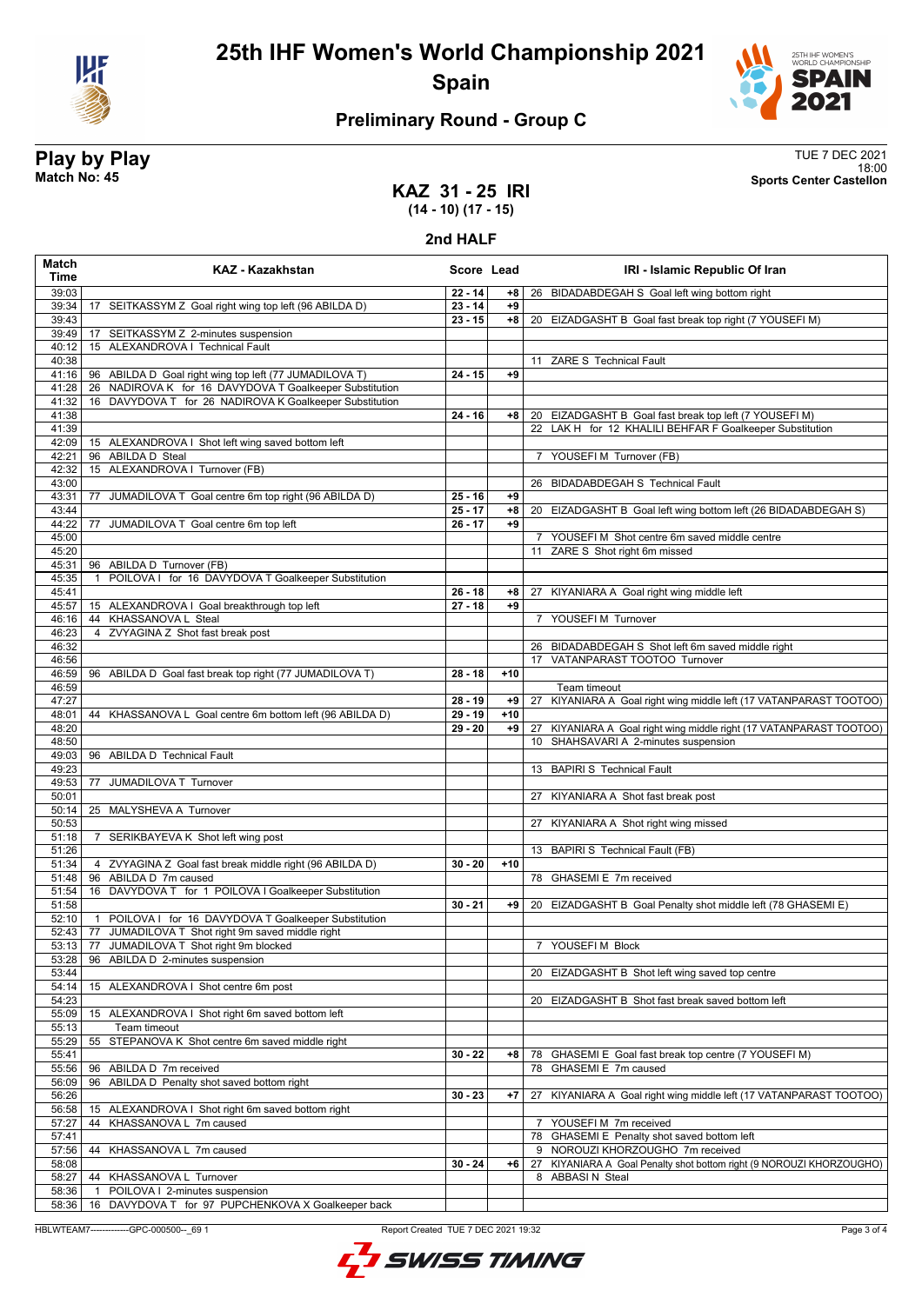

# **25th IHF Women's World Championship 2021 Spain**



# **Preliminary Round - Group C**

**Play by Play**<br>Match No: 45<br>Sports Center Castellon 18:00 **Match No: 45 Sports Center Castellon**

### **KAZ 31 - 25 IRI (14 - 10) (17 - 15)**

#### **2nd HALF**

| Match<br><b>Time</b> | KAZ - Kazakhstan                                                                                                     | Score Lead |       | IRI - Islamic Republic Of Iran                                                     |
|----------------------|----------------------------------------------------------------------------------------------------------------------|------------|-------|------------------------------------------------------------------------------------|
| 39:03                |                                                                                                                      | $22 - 14$  | +8    | 26 BIDADABDEGAH S Goal left wing bottom right                                      |
| 39:34                | 17 SEITKASSYM Z Goal right wing top left (96 ABILDA D)                                                               | $23 - 14$  | $+9$  |                                                                                    |
| 39:43                |                                                                                                                      | $23 - 15$  | $+8$  | 20 EIZADGASHT B Goal fast break top right (7 YOUSEFI M)                            |
| 39:49                | 17 SEITKASSYM Z 2-minutes suspension                                                                                 |            |       |                                                                                    |
| 40:12                | 15 ALEXANDROVA I Technical Fault                                                                                     |            |       |                                                                                    |
| 40:38                |                                                                                                                      |            |       | 11 ZARE S Technical Fault                                                          |
| 41:16<br>41:28       | 96 ABILDA D Goal right wing top left (77 JUMADILOVA T)<br>NADIROVA K for 16 DAVYDOVA T Goalkeeper Substitution<br>26 | $24 - 15$  | $+9$  |                                                                                    |
| 41:32                | 16 DAVYDOVA T for 26 NADIROVA K Goalkeeper Substitution                                                              |            |       |                                                                                    |
| 41:38                |                                                                                                                      | $24 - 16$  | +8    | 20 EIZADGASHT B Goal fast break top left (7 YOUSEFI M)                             |
| 41:39                |                                                                                                                      |            |       | 22 LAK H for 12 KHALILI BEHFAR F Goalkeeper Substitution                           |
| 42:09                | 15 ALEXANDROVA I Shot left wing saved bottom left                                                                    |            |       |                                                                                    |
| 42:21                | 96 ABILDA D Steal                                                                                                    |            |       | 7 YOUSEFI M Turnover (FB)                                                          |
| 42:32                | 15 ALEXANDROVA   Turnover (FB)                                                                                       |            |       |                                                                                    |
| 43:00                |                                                                                                                      |            |       | 26 BIDADABDEGAH S Technical Fault                                                  |
| 43:31                | JUMADILOVA T Goal centre 6m top right (96 ABILDA D)<br>77                                                            | $25 - 16$  | +9    |                                                                                    |
| 43:44                |                                                                                                                      | $25 - 17$  | $+8$  | 20 EIZADGASHT B Goal left wing bottom left (26 BIDADABDEGAH S)                     |
| 44:22                | 77<br>JUMADILOVA T Goal centre 6m top left                                                                           | $26 - 17$  | +9    |                                                                                    |
| 45:00<br>45:20       |                                                                                                                      |            |       | 7 YOUSEFI M Shot centre 6m saved middle centre<br>11 ZARE S Shot right 6m missed   |
| 45:31                | 96 ABILDA D Turnover (FB)                                                                                            |            |       |                                                                                    |
| 45:35                | POILOVA I for 16 DAVYDOVA T Goalkeeper Substitution                                                                  |            |       |                                                                                    |
| 45:41                |                                                                                                                      | $26 - 18$  | +8    | 27 KIYANIARA A Goal right wing middle left                                         |
| 45:57                | 15 ALEXANDROVA I Goal breakthrough top left                                                                          | $27 - 18$  | $+9$  |                                                                                    |
| 46:16                | 44 KHASSANOVA L Steal                                                                                                |            |       | 7 YOUSEFI M Turnover                                                               |
| 46:23                | ZVYAGINA Z Shot fast break post<br>4                                                                                 |            |       |                                                                                    |
| 46:32                |                                                                                                                      |            |       | 26 BIDADABDEGAH S Shot left 6m saved middle right                                  |
| 46:56                |                                                                                                                      |            |       | 17 VATANPARAST TOOTOO Turnover                                                     |
| 46:59                | 96 ABILDA D Goal fast break top right (77 JUMADILOVA T)                                                              | $28 - 18$  | $+10$ |                                                                                    |
| 46:59<br>47:27       |                                                                                                                      | $28 - 19$  | $+9$  | Team timeout<br>27 KIYANIARA A Goal right wing middle left (17 VATANPARAST TOOTOO) |
| 48:01                | 44 KHASSANOVA L Goal centre 6m bottom left (96 ABILDA D)                                                             | $29 - 19$  | $+10$ |                                                                                    |
| 48:20                |                                                                                                                      | $29 - 20$  | $+9$  | 27 KIYANIARA A Goal right wing middle right (17 VATANPARAST TOOTOO)                |
| 48:50                |                                                                                                                      |            |       | 10 SHAHSAVARI A 2-minutes suspension                                               |
| 49:03                | 96 ABILDA D Technical Fault                                                                                          |            |       |                                                                                    |
| 49:23                |                                                                                                                      |            |       | 13 BAPIRI S Technical Fault                                                        |
| 49:53                | 77<br>JUMADILOVA T Turnover                                                                                          |            |       |                                                                                    |
| 50:01                |                                                                                                                      |            |       | KIYANIARA A Shot fast break post                                                   |
| 50:14<br>50:53       | 25 MALYSHEVA A Turnover                                                                                              |            |       | 27 KIYANIARA A Shot right wing missed                                              |
| 51:18                | SERIKBAYEVA K Shot left wing post<br>7                                                                               |            |       |                                                                                    |
| 51:26                |                                                                                                                      |            |       | 13 BAPIRI S Technical Fault (FB)                                                   |
| 51:34                | 4 ZVYAGINA Z Goal fast break middle right (96 ABILDA D)                                                              | $30 - 20$  | $+10$ |                                                                                    |
| 51:48                | 96 ABILDA D 7m caused                                                                                                |            |       | 78 GHASEMI E 7m received                                                           |
| 51:54                | 16 DAVYDOVA T for 1 POILOVA I Goalkeeper Substitution                                                                |            |       |                                                                                    |
| 51:58                |                                                                                                                      | $30 - 21$  | +9    | 20 EIZADGASHT B Goal Penalty shot middle left (78 GHASEMI E)                       |
| 52:10                | 1 POILOVA I for 16 DAVYDOVA T Goalkeeper Substitution                                                                |            |       |                                                                                    |
|                      | 52:43   77 JUMADILOVA T Shot right 9m saved middle right                                                             |            |       |                                                                                    |
| 53:28                | 53:13   77 JUMADILOVA T Shot right 9m blocked<br>96 ABILDA D 2-minutes suspension                                    |            |       | 7 YOUSEFIM Block                                                                   |
| 53:44                |                                                                                                                      |            |       | 20 EIZADGASHT B Shot left wing saved top centre                                    |
| 54:14                | 15 ALEXANDROVA I Shot centre 6m post                                                                                 |            |       |                                                                                    |
| 54:23                |                                                                                                                      |            |       | 20 EIZADGASHT B Shot fast break saved bottom left                                  |
| 55:09                | 15 ALEXANDROVA I Shot right 6m saved bottom left                                                                     |            |       |                                                                                    |
| 55:13                | Team timeout                                                                                                         |            |       |                                                                                    |
| 55:29                | STEPANOVA K Shot centre 6m saved middle right<br>55                                                                  |            |       |                                                                                    |
| 55:41                |                                                                                                                      | $30 - 22$  | +8    | 78 GHASEMI E Goal fast break top centre (7 YOUSEFI M)                              |
| 55:56                | 96 ABILDA D 7m received                                                                                              |            |       | 78 GHASEMI E 7m caused                                                             |
| 56:09                | 96 ABILDA D Penalty shot saved bottom right                                                                          |            |       |                                                                                    |
| 56:26                |                                                                                                                      | $30 - 23$  | $+7$  | KIYANIARA A Goal right wing middle left (17 VATANPARAST TOOTOO)<br>27              |
| 56:58<br>57:27       | 15 ALEXANDROVA I Shot right 6m saved bottom right<br>KHASSANOVA L 7m caused<br>44                                    |            |       | YOUSEFIM 7m received<br>$7^{\circ}$                                                |
| 57:41                |                                                                                                                      |            |       | 78 GHASEMI E Penalty shot saved bottom left                                        |
| 57:56                | 44<br>KHASSANOVA L 7m caused                                                                                         |            |       | 9 NOROUZI KHORZOUGHO 7m received                                                   |
| 58:08                |                                                                                                                      | $30 - 24$  | +6    | KIYANIARA A Goal Penalty shot bottom right (9 NOROUZI KHORZOUGHO)<br>27            |
| 58:27                | <b>KHASSANOVA L Turnover</b><br>44                                                                                   |            |       | 8 ABBASIN Steal                                                                    |
| 58:36                | POILOVA I 2-minutes suspension<br>$\overline{1}$                                                                     |            |       |                                                                                    |
| 58:36                | 16 DAVYDOVA T for 97 PUPCHENKOVA X Goalkeeper back                                                                   |            |       |                                                                                    |